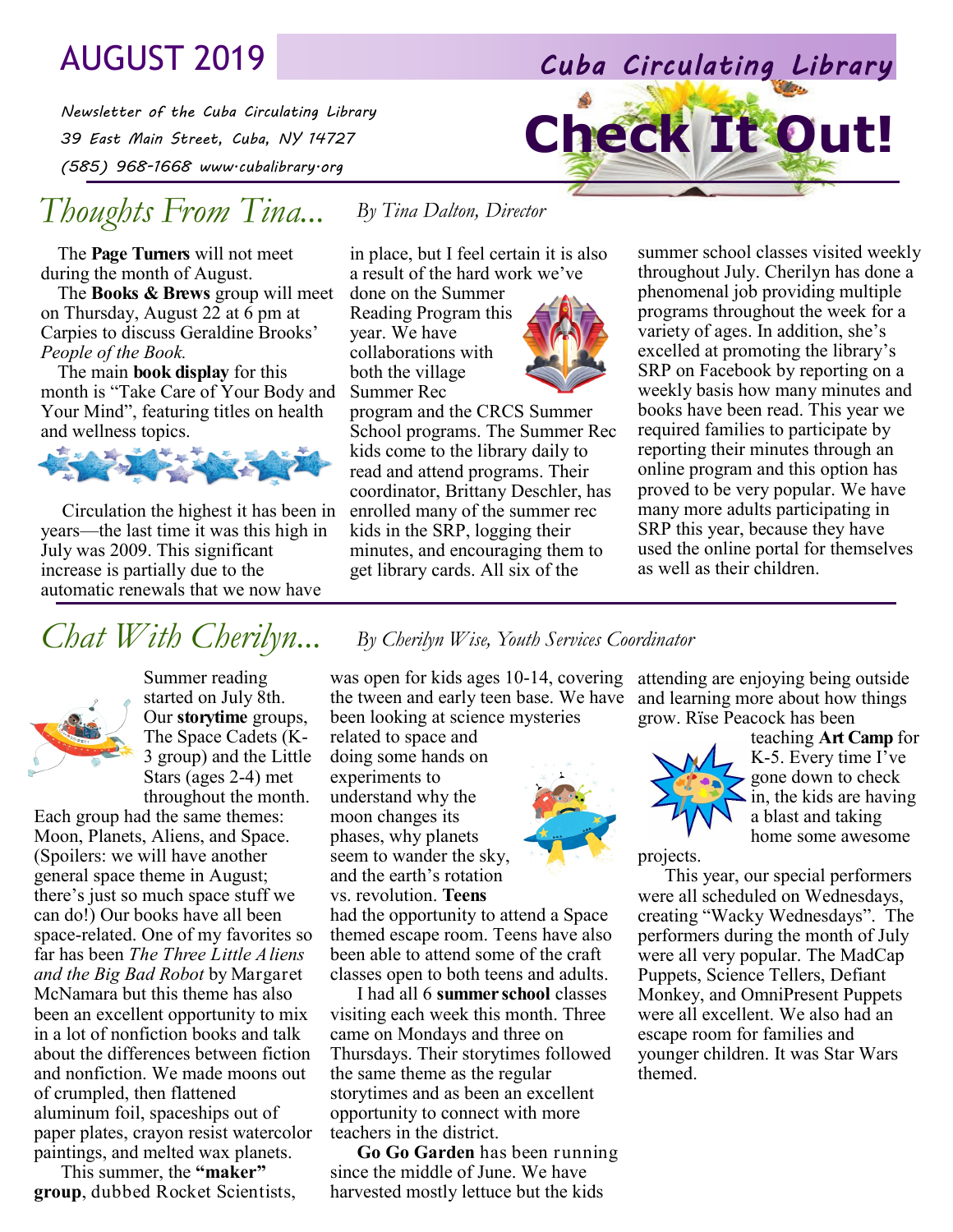# AUGUST 2019 *Cuba Circulating Library*

*Newsletter of the Cuba Circulating Library 39 East Main Street, Cuba, NY 14727 (585) 968-1668 www.cubalibrary.org* 

# *Thoughts From Tina...*

The **Page Turners** will not meet during the month of August.

The **Books & Brews** group will meet on Thursday, August 22 at 6 pm at Carpies to discuss Geraldine Brooks' *People of the Book.*

The main **book display** for this month is "Take Care of Your Body and Your Mind", featuring titles on health and wellness topics.



Circulation the highest it has been in years—the last time it was this high in July was 2009. This significant increase is partially due to the automatic renewals that we now have

### *By Tina Dalton, Director*

in place, but I feel certain it is also a result of the hard work we've

done on the Summer Reading Program this year. We have collaborations with both the village Summer Rec



summer school classes visited weekly throughout July. Cherilyn has done a phenomenal job providing multiple programs throughout the week for a variety of ages. In addition, she's excelled at promoting the library's SRP on Facebook by reporting on a weekly basis how many minutes and books have been read. This year we required families to participate by reporting their minutes through an online program and this option has proved to be very popular. We have many more adults participating in SRP this year, because they have used the online portal for themselves as well as their children.

**Check It Out!**



Summer reading started on July 8th. Our **storytime** groups, The Space Cadets (K-3 group) and the Little Stars (ages 2-4) met throughout the month.

Each group had the same themes: Moon, Planets, Aliens, and Space. (Spoilers: we will have another general space theme in August; there's just so much space stuff we can do!) Our books have all been space-related. One of my favorites so far has been *The Three Little Aliens and the Big Bad Robot* by Margaret McNamara but this theme has also been an excellent opportunity to mix in a lot of nonfiction books and talk about the differences between fiction and nonfiction. We made moons out of crumpled, then flattened aluminum foil, spaceships out of paper plates, crayon resist watercolor paintings, and melted wax planets.

This summer, the **"maker" group**, dubbed Rocket Scientists,

# *Chat With Cherilyn... By Cherilyn Wise, Youth Services Coordinator*

was open for kids ages 10-14, covering attending are enjoying being outside the tween and early teen base. We have been looking at science mysteries

related to space and doing some hands on experiments to understand why the moon changes its phases, why planets seem to wander the sky, and the earth's rotation vs. revolution. **Teens**

had the opportunity to attend a Space themed escape room. Teens have also been able to attend some of the craft classes open to both teens and adults.

I had all 6 **summer school** classes visiting each week this month. Three came on Mondays and three on Thursdays. Their storytimes followed the same theme as the regular storytimes and as been an excellent opportunity to connect with more teachers in the district.

**Go Go Garden** has been running since the middle of June. We have harvested mostly lettuce but the kids





teaching **Art Camp** for K-5. Every time I've gone down to check in, the kids are having a blast and taking home some awesome

projects.

This year, our special performers were all scheduled on Wednesdays, creating "Wacky Wednesdays". The performers during the month of July were all very popular. The MadCap Puppets, Science Tellers, Defiant Monkey, and OmniPresent Puppets were all excellent. We also had an escape room for families and younger children. It was Star Wars themed.